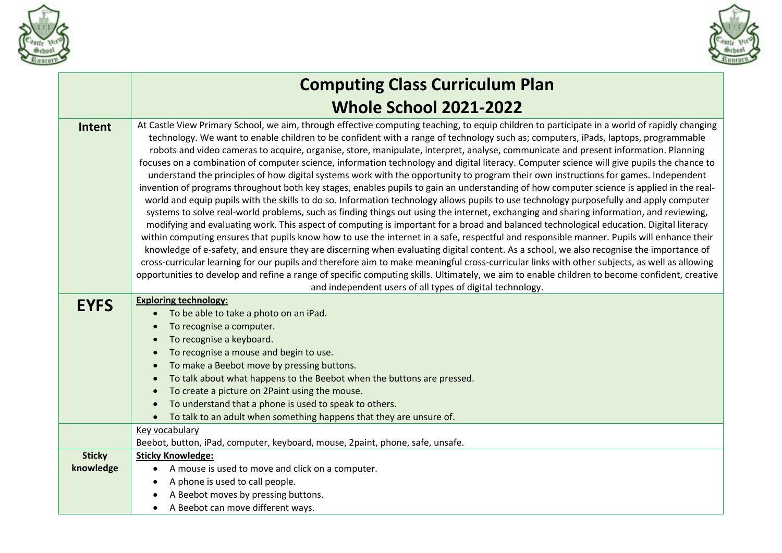



|               | <b>Computing Class Curriculum Plan</b>                                                                                                                                                                                                                                                                                                                                                                                                                                                                                                                                                                                                                                                                                                                                                                                                                                                                                                                                                                                                                                                                                                                                                                                                                                                                                                                                                                                                                                                                                                                                                                                                                                                                                                                                                                                                                                                                                                              |
|---------------|-----------------------------------------------------------------------------------------------------------------------------------------------------------------------------------------------------------------------------------------------------------------------------------------------------------------------------------------------------------------------------------------------------------------------------------------------------------------------------------------------------------------------------------------------------------------------------------------------------------------------------------------------------------------------------------------------------------------------------------------------------------------------------------------------------------------------------------------------------------------------------------------------------------------------------------------------------------------------------------------------------------------------------------------------------------------------------------------------------------------------------------------------------------------------------------------------------------------------------------------------------------------------------------------------------------------------------------------------------------------------------------------------------------------------------------------------------------------------------------------------------------------------------------------------------------------------------------------------------------------------------------------------------------------------------------------------------------------------------------------------------------------------------------------------------------------------------------------------------------------------------------------------------------------------------------------------------|
|               | <b>Whole School 2021-2022</b>                                                                                                                                                                                                                                                                                                                                                                                                                                                                                                                                                                                                                                                                                                                                                                                                                                                                                                                                                                                                                                                                                                                                                                                                                                                                                                                                                                                                                                                                                                                                                                                                                                                                                                                                                                                                                                                                                                                       |
| Intent        | At Castle View Primary School, we aim, through effective computing teaching, to equip children to participate in a world of rapidly changing<br>technology. We want to enable children to be confident with a range of technology such as; computers, iPads, laptops, programmable<br>robots and video cameras to acquire, organise, store, manipulate, interpret, analyse, communicate and present information. Planning<br>focuses on a combination of computer science, information technology and digital literacy. Computer science will give pupils the chance to<br>understand the principles of how digital systems work with the opportunity to program their own instructions for games. Independent<br>invention of programs throughout both key stages, enables pupils to gain an understanding of how computer science is applied in the real-<br>world and equip pupils with the skills to do so. Information technology allows pupils to use technology purposefully and apply computer<br>systems to solve real-world problems, such as finding things out using the internet, exchanging and sharing information, and reviewing,<br>modifying and evaluating work. This aspect of computing is important for a broad and balanced technological education. Digital literacy<br>within computing ensures that pupils know how to use the internet in a safe, respectful and responsible manner. Pupils will enhance their<br>knowledge of e-safety, and ensure they are discerning when evaluating digital content. As a school, we also recognise the importance of<br>cross-curricular learning for our pupils and therefore aim to make meaningful cross-curricular links with other subjects, as well as allowing<br>opportunities to develop and refine a range of specific computing skills. Ultimately, we aim to enable children to become confident, creative<br>and independent users of all types of digital technology. |
| <b>EYFS</b>   | <b>Exploring technology:</b>                                                                                                                                                                                                                                                                                                                                                                                                                                                                                                                                                                                                                                                                                                                                                                                                                                                                                                                                                                                                                                                                                                                                                                                                                                                                                                                                                                                                                                                                                                                                                                                                                                                                                                                                                                                                                                                                                                                        |
|               | To be able to take a photo on an iPad.<br>$\bullet$<br>To recognise a computer.<br>$\bullet$                                                                                                                                                                                                                                                                                                                                                                                                                                                                                                                                                                                                                                                                                                                                                                                                                                                                                                                                                                                                                                                                                                                                                                                                                                                                                                                                                                                                                                                                                                                                                                                                                                                                                                                                                                                                                                                        |
|               | To recognise a keyboard.                                                                                                                                                                                                                                                                                                                                                                                                                                                                                                                                                                                                                                                                                                                                                                                                                                                                                                                                                                                                                                                                                                                                                                                                                                                                                                                                                                                                                                                                                                                                                                                                                                                                                                                                                                                                                                                                                                                            |
|               | To recognise a mouse and begin to use.                                                                                                                                                                                                                                                                                                                                                                                                                                                                                                                                                                                                                                                                                                                                                                                                                                                                                                                                                                                                                                                                                                                                                                                                                                                                                                                                                                                                                                                                                                                                                                                                                                                                                                                                                                                                                                                                                                              |
|               | To make a Beebot move by pressing buttons.                                                                                                                                                                                                                                                                                                                                                                                                                                                                                                                                                                                                                                                                                                                                                                                                                                                                                                                                                                                                                                                                                                                                                                                                                                                                                                                                                                                                                                                                                                                                                                                                                                                                                                                                                                                                                                                                                                          |
|               | To talk about what happens to the Beebot when the buttons are pressed.                                                                                                                                                                                                                                                                                                                                                                                                                                                                                                                                                                                                                                                                                                                                                                                                                                                                                                                                                                                                                                                                                                                                                                                                                                                                                                                                                                                                                                                                                                                                                                                                                                                                                                                                                                                                                                                                              |
|               | To create a picture on 2Paint using the mouse.<br>$\bullet$                                                                                                                                                                                                                                                                                                                                                                                                                                                                                                                                                                                                                                                                                                                                                                                                                                                                                                                                                                                                                                                                                                                                                                                                                                                                                                                                                                                                                                                                                                                                                                                                                                                                                                                                                                                                                                                                                         |
|               | To understand that a phone is used to speak to others.<br>To talk to an adult when something happens that they are unsure of.                                                                                                                                                                                                                                                                                                                                                                                                                                                                                                                                                                                                                                                                                                                                                                                                                                                                                                                                                                                                                                                                                                                                                                                                                                                                                                                                                                                                                                                                                                                                                                                                                                                                                                                                                                                                                       |
|               | Key vocabulary                                                                                                                                                                                                                                                                                                                                                                                                                                                                                                                                                                                                                                                                                                                                                                                                                                                                                                                                                                                                                                                                                                                                                                                                                                                                                                                                                                                                                                                                                                                                                                                                                                                                                                                                                                                                                                                                                                                                      |
|               | Beebot, button, iPad, computer, keyboard, mouse, 2paint, phone, safe, unsafe.                                                                                                                                                                                                                                                                                                                                                                                                                                                                                                                                                                                                                                                                                                                                                                                                                                                                                                                                                                                                                                                                                                                                                                                                                                                                                                                                                                                                                                                                                                                                                                                                                                                                                                                                                                                                                                                                       |
| <b>Sticky</b> | <b>Sticky Knowledge:</b>                                                                                                                                                                                                                                                                                                                                                                                                                                                                                                                                                                                                                                                                                                                                                                                                                                                                                                                                                                                                                                                                                                                                                                                                                                                                                                                                                                                                                                                                                                                                                                                                                                                                                                                                                                                                                                                                                                                            |
| knowledge     | A mouse is used to move and click on a computer.<br>$\bullet$                                                                                                                                                                                                                                                                                                                                                                                                                                                                                                                                                                                                                                                                                                                                                                                                                                                                                                                                                                                                                                                                                                                                                                                                                                                                                                                                                                                                                                                                                                                                                                                                                                                                                                                                                                                                                                                                                       |
|               | A phone is used to call people.<br>$\bullet$                                                                                                                                                                                                                                                                                                                                                                                                                                                                                                                                                                                                                                                                                                                                                                                                                                                                                                                                                                                                                                                                                                                                                                                                                                                                                                                                                                                                                                                                                                                                                                                                                                                                                                                                                                                                                                                                                                        |
|               | A Beebot moves by pressing buttons.                                                                                                                                                                                                                                                                                                                                                                                                                                                                                                                                                                                                                                                                                                                                                                                                                                                                                                                                                                                                                                                                                                                                                                                                                                                                                                                                                                                                                                                                                                                                                                                                                                                                                                                                                                                                                                                                                                                 |
|               | • A Beebot can move different ways.                                                                                                                                                                                                                                                                                                                                                                                                                                                                                                                                                                                                                                                                                                                                                                                                                                                                                                                                                                                                                                                                                                                                                                                                                                                                                                                                                                                                                                                                                                                                                                                                                                                                                                                                                                                                                                                                                                                 |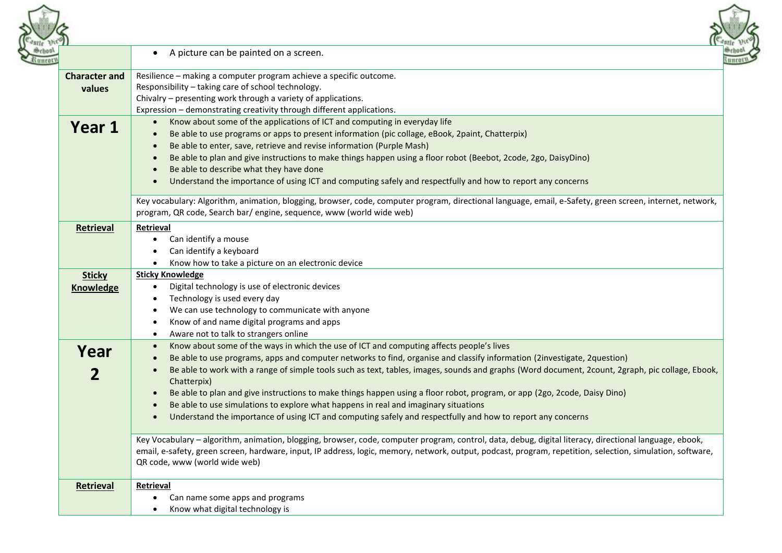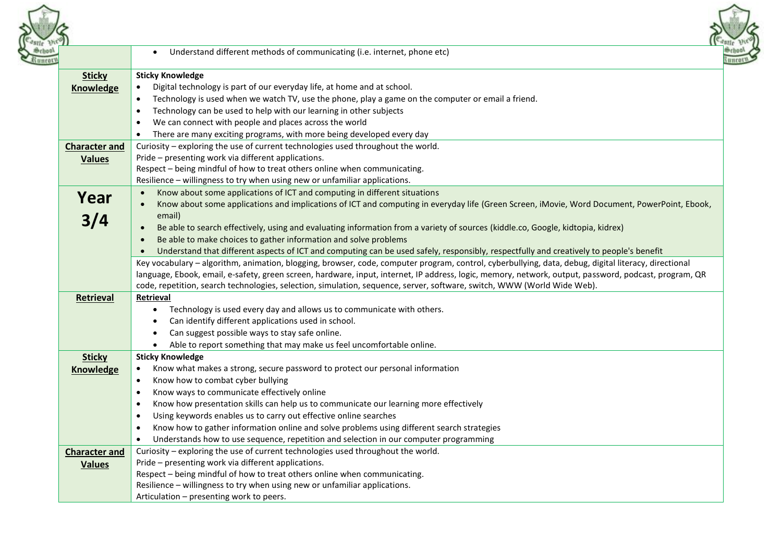

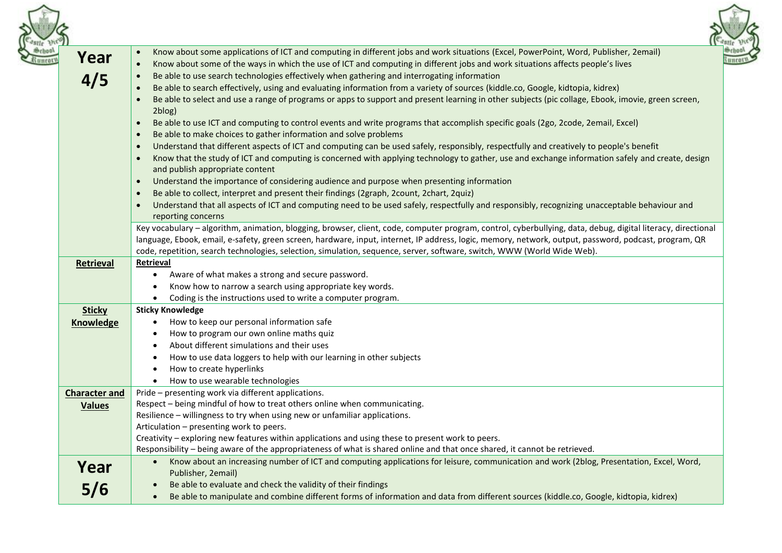| Year<br>4/5                           | Know about some applications of ICT and computing in different jobs and work situations (Excel, PowerPoint, Word, Publisher, 2email)<br>$\bullet$<br>Know about some of the ways in which the use of ICT and computing in different jobs and work situations affects people's lives<br>$\bullet$<br>Be able to use search technologies effectively when gathering and interrogating information<br>Be able to search effectively, using and evaluating information from a variety of sources (kiddle.co, Google, kidtopia, kidrex)<br>Be able to select and use a range of programs or apps to support and present learning in other subjects (pic collage, Ebook, imovie, green screen,<br>2blog)<br>Be able to use ICT and computing to control events and write programs that accomplish specific goals (2go, 2code, 2email, Excel)<br>Be able to make choices to gather information and solve problems<br>Understand that different aspects of ICT and computing can be used safely, responsibly, respectfully and creatively to people's benefit<br>Know that the study of ICT and computing is concerned with applying technology to gather, use and exchange information safely and create, design<br>and publish appropriate content<br>Understand the importance of considering audience and purpose when presenting information<br>$\bullet$<br>Be able to collect, interpret and present their findings (2graph, 2count, 2chart, 2quiz)<br>Understand that all aspects of ICT and computing need to be used safely, respectfully and responsibly, recognizing unacceptable behaviour and<br>reporting concerns<br>Key vocabulary - algorithm, animation, blogging, browser, client, code, computer program, control, cyberbullying, data, debug, digital literacy, directional<br>language, Ebook, email, e-safety, green screen, hardware, input, internet, IP address, logic, memory, network, output, password, podcast, program, QR |
|---------------------------------------|----------------------------------------------------------------------------------------------------------------------------------------------------------------------------------------------------------------------------------------------------------------------------------------------------------------------------------------------------------------------------------------------------------------------------------------------------------------------------------------------------------------------------------------------------------------------------------------------------------------------------------------------------------------------------------------------------------------------------------------------------------------------------------------------------------------------------------------------------------------------------------------------------------------------------------------------------------------------------------------------------------------------------------------------------------------------------------------------------------------------------------------------------------------------------------------------------------------------------------------------------------------------------------------------------------------------------------------------------------------------------------------------------------------------------------------------------------------------------------------------------------------------------------------------------------------------------------------------------------------------------------------------------------------------------------------------------------------------------------------------------------------------------------------------------------------------------------------------------------------------------------------------------------------------------------------------------|
| Retrieval                             | code, repetition, search technologies, selection, simulation, sequence, server, software, switch, WWW (World Wide Web).<br>Retrieval                                                                                                                                                                                                                                                                                                                                                                                                                                                                                                                                                                                                                                                                                                                                                                                                                                                                                                                                                                                                                                                                                                                                                                                                                                                                                                                                                                                                                                                                                                                                                                                                                                                                                                                                                                                                               |
|                                       | Aware of what makes a strong and secure password.<br>Know how to narrow a search using appropriate key words.<br>Coding is the instructions used to write a computer program.                                                                                                                                                                                                                                                                                                                                                                                                                                                                                                                                                                                                                                                                                                                                                                                                                                                                                                                                                                                                                                                                                                                                                                                                                                                                                                                                                                                                                                                                                                                                                                                                                                                                                                                                                                      |
| <b>Sticky</b>                         | <b>Sticky Knowledge</b>                                                                                                                                                                                                                                                                                                                                                                                                                                                                                                                                                                                                                                                                                                                                                                                                                                                                                                                                                                                                                                                                                                                                                                                                                                                                                                                                                                                                                                                                                                                                                                                                                                                                                                                                                                                                                                                                                                                            |
| Knowledge                             | How to keep our personal information safe<br>How to program our own online maths quiz<br>٠<br>About different simulations and their uses<br>How to use data loggers to help with our learning in other subjects<br>How to create hyperlinks<br>How to use wearable technologies                                                                                                                                                                                                                                                                                                                                                                                                                                                                                                                                                                                                                                                                                                                                                                                                                                                                                                                                                                                                                                                                                                                                                                                                                                                                                                                                                                                                                                                                                                                                                                                                                                                                    |
| <b>Character and</b><br><b>Values</b> | Pride - presenting work via different applications.<br>Respect - being mindful of how to treat others online when communicating.<br>Resilience - willingness to try when using new or unfamiliar applications.<br>Articulation - presenting work to peers.<br>Creativity – exploring new features within applications and using these to present work to peers.<br>Responsibility – being aware of the appropriateness of what is shared online and that once shared, it cannot be retrieved.                                                                                                                                                                                                                                                                                                                                                                                                                                                                                                                                                                                                                                                                                                                                                                                                                                                                                                                                                                                                                                                                                                                                                                                                                                                                                                                                                                                                                                                      |
| Year                                  | Know about an increasing number of ICT and computing applications for leisure, communication and work (2blog, Presentation, Excel, Word,                                                                                                                                                                                                                                                                                                                                                                                                                                                                                                                                                                                                                                                                                                                                                                                                                                                                                                                                                                                                                                                                                                                                                                                                                                                                                                                                                                                                                                                                                                                                                                                                                                                                                                                                                                                                           |
| $5/6$                                 | Publisher, 2email)<br>Be able to evaluate and check the validity of their findings<br>Be able to manipulate and combine different forms of information and data from different sources (kiddle.co, Google, kidtopia, kidrex)                                                                                                                                                                                                                                                                                                                                                                                                                                                                                                                                                                                                                                                                                                                                                                                                                                                                                                                                                                                                                                                                                                                                                                                                                                                                                                                                                                                                                                                                                                                                                                                                                                                                                                                       |